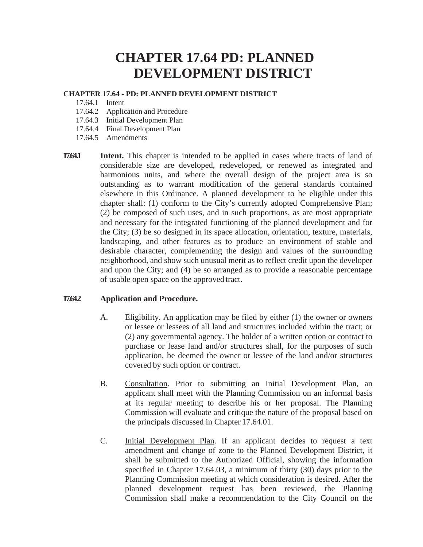# **CHAPTER 17.64 PD: PLANNED DEVELOPMENT DISTRICT**

### **CHAPTER 17.64 - PD: PLANNED DEVELOPMENT DISTRICT**

- 17.64.1 Intent
- 17.64.2 Application and Procedure
- 17.64.3 Initial Development Plan
- 17.64.4 Final Development Plan
- 17.64.5 Amendments
- **1764.1 Intent.** This chapter is intended to be applied in cases where tracts of land of considerable size are developed, redeveloped, or renewed as integrated and harmonious units, and where the overall design of the project area is so outstanding as to warrant modification of the general standards contained elsewhere in this Ordinance. A planned development to be eligible under this chapter shall: (1) conform to the City's currently adopted Comprehensive Plan; (2) be composed of such uses, and in such proportions, as are most appropriate and necessary for the integrated functioning of the planned development and for the City; (3) be so designed in its space allocation, orientation, texture, materials, landscaping, and other features as to produce an environment of stable and desirable character, complementing the design and values of the surrounding neighborhood, and show such unusual merit as to reflect credit upon the developer and upon the City; and (4) be so arranged as to provide a reasonable percentage of usable open space on the approved tract.

## **17.64.2 Application and Procedure.**

- A. Eligibility. An application may be filed by either (1) the owner or owners or lessee or lessees of all land and structures included within the tract; or (2) any governmental agency. The holder of a written option or contract to purchase or lease land and/or structures shall, for the purposes of such application, be deemed the owner or lessee of the land and/or structures covered by such option or contract.
- B. Consultation. Prior to submitting an Initial Development Plan, an applicant shall meet with the Planning Commission on an informal basis at its regular meeting to describe his or her proposal. The Planning Commission will evaluate and critique the nature of the proposal based on the principals discussed in Chapter 17.64.01.
- C. Initial Development Plan. If an applicant decides to request a text amendment and change of zone to the Planned Development District, it shall be submitted to the Authorized Official, showing the information specified in Chapter 17.64.03, a minimum of thirty (30) days prior to the Planning Commission meeting at which consideration is desired. After the planned development request has been reviewed, the Planning Commission shall make a recommendation to the City Council on the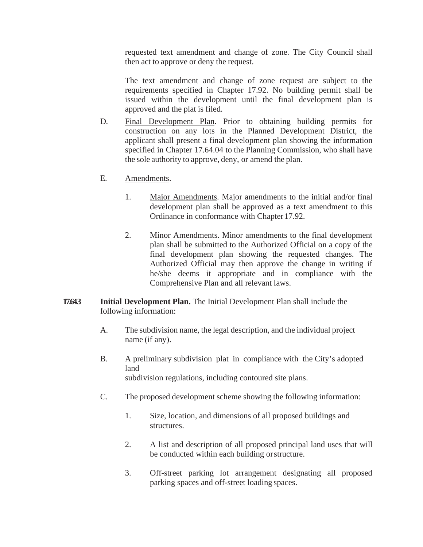requested text amendment and change of zone. The City Council shall then act to approve or deny the request.

The text amendment and change of zone request are subject to the requirements specified in Chapter 17.92. No building permit shall be issued within the development until the final development plan is approved and the plat is filed.

- D. Final Development Plan. Prior to obtaining building permits for construction on any lots in the Planned Development District, the applicant shall present a final development plan showing the information specified in Chapter 17.64.04 to the Planning Commission, who shall have the sole authority to approve, deny, or amend the plan.
- E. Amendments.
	- 1. Major Amendments. Major amendments to the initial and/or final development plan shall be approved as a text amendment to this Ordinance in conformance with Chapter 17.92.
	- 2. Minor Amendments. Minor amendments to the final development plan shall be submitted to the Authorized Official on a copy of the final development plan showing the requested changes. The Authorized Official may then approve the change in writing if he/she deems it appropriate and in compliance with the Comprehensive Plan and all relevant laws.
- **17.64.3 Initial Development Plan.** The Initial Development Plan shall include the following information:
	- A. The subdivision name, the legal description, and the individual project name (if any).
	- B. A preliminary subdivision plat in compliance with the City's adopted land subdivision regulations, including contoured site plans.
	- C. The proposed development scheme showing the following information:
		- 1. Size, location, and dimensions of all proposed buildings and structures.
		- 2. A list and description of all proposed principal land uses that will be conducted within each building orstructure.
		- 3. Off-street parking lot arrangement designating all proposed parking spaces and off-street loading spaces.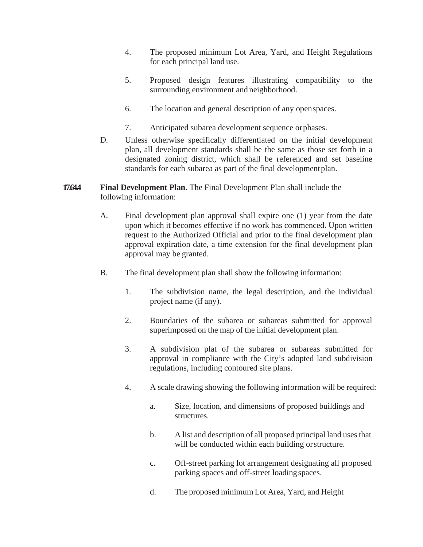- 4. The proposed minimum Lot Area, Yard, and Height Regulations for each principal land use.
- 5. Proposed design features illustrating compatibility to the surrounding environment and neighborhood.
- 6. The location and general description of any openspaces.
- 7. Anticipated subarea development sequence orphases.
- D. Unless otherwise specifically differentiated on the initial development plan, all development standards shall be the same as those set forth in a designated zoning district, which shall be referenced and set baseline standards for each subarea as part of the final development plan.

## **17.64.4 Final Development Plan.** The Final Development Plan shall include the following information:

- A. Final development plan approval shall expire one (1) year from the date upon which it becomes effective if no work has commenced. Upon written request to the Authorized Official and prior to the final development plan approval expiration date, a time extension for the final development plan approval may be granted.
- B. The final development plan shall show the following information:
	- 1. The subdivision name, the legal description, and the individual project name (if any).
	- 2. Boundaries of the subarea or subareas submitted for approval superimposed on the map of the initial development plan.
	- 3. A subdivision plat of the subarea or subareas submitted for approval in compliance with the City's adopted land subdivision regulations, including contoured site plans.
	- 4. A scale drawing showing the following information will be required:
		- a. Size, location, and dimensions of proposed buildings and structures.
		- b. A list and description of all proposed principal land uses that will be conducted within each building orstructure.
		- c. Off-street parking lot arrangement designating all proposed parking spaces and off-street loading spaces.
		- d. The proposed minimum Lot Area, Yard, and Height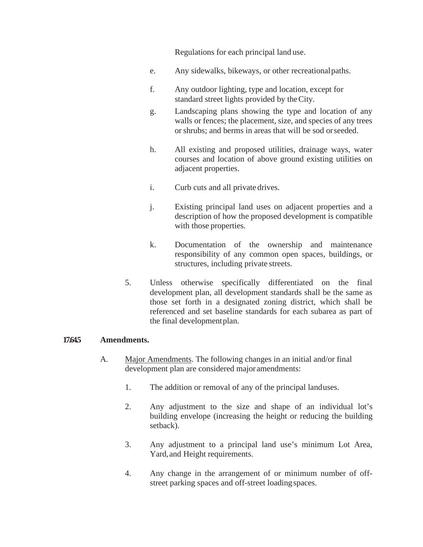Regulations for each principal land use.

- e. Any sidewalks, bikeways, or other recreationalpaths.
- f. Any outdoor lighting, type and location, except for standard street lights provided by theCity.
- g. Landscaping plans showing the type and location of any walls or fences; the placement, size, and species of any trees orshrubs; and berms in areas that will be sod orseeded.
- h. All existing and proposed utilities, drainage ways, water courses and location of above ground existing utilities on adjacent properties.
- i. Curb cuts and all private drives.
- j. Existing principal land uses on adjacent properties and a description of how the proposed development is compatible with those properties.
- k. Documentation of the ownership and maintenance responsibility of any common open spaces, buildings, or structures, including private streets.
- 5. Unless otherwise specifically differentiated on the final development plan, all development standards shall be the same as those set forth in a designated zoning district, which shall be referenced and set baseline standards for each subarea as part of the final developmentplan.

#### **17.64.5 Amendments.**

- A. Major Amendments. The following changes in an initial and/or final development plan are considered major amendments:
	- 1. The addition or removal of any of the principal landuses.
	- 2. Any adjustment to the size and shape of an individual lot's building envelope (increasing the height or reducing the building setback).
	- 3. Any adjustment to a principal land use's minimum Lot Area, Yard, and Height requirements.
	- 4. Any change in the arrangement of or minimum number of offstreet parking spaces and off-street loading spaces.